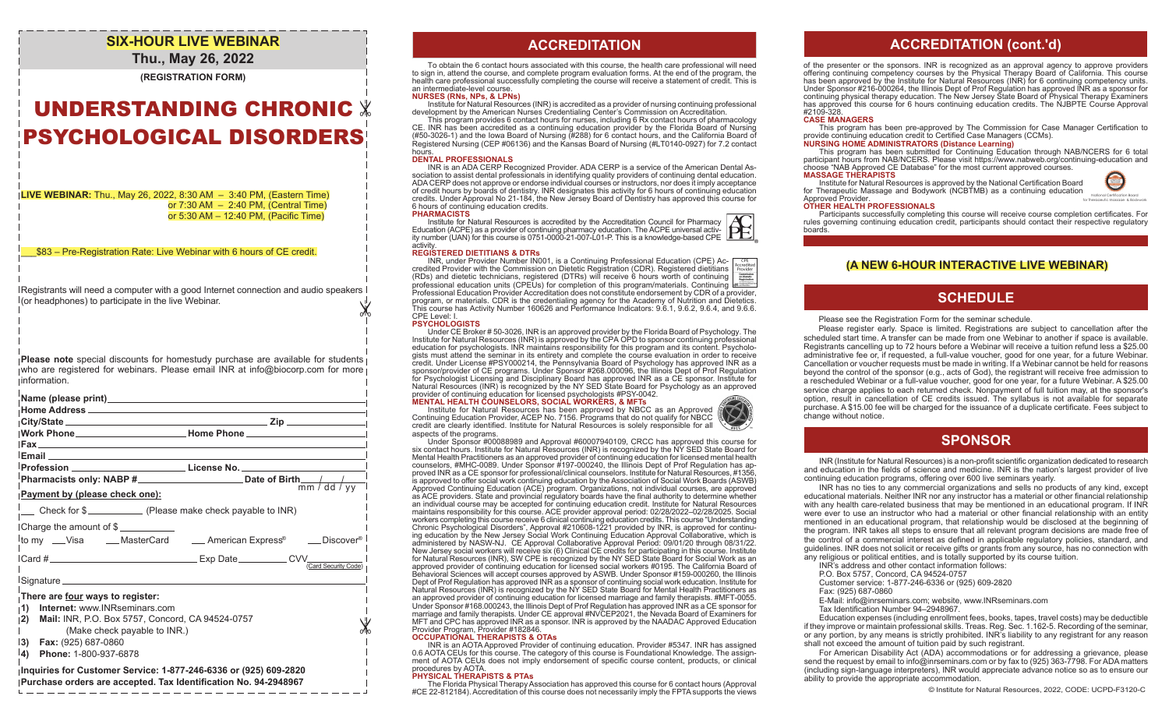# **SIX-HOUR LIVE WEBINAR**

### **Thu., May 26, 2022**

**(REGISTRATION FORM)**

# UNDERSTANDING CHRONIC PSYCHOLOGICAL DISORDERS

**LIVE WEBINAR:** Thu., May 26, 2022, 8:30 AM – 3:40 PM, (Eastern Time) or 7:30 AM – 2:40 PM, (Central Time) or 5:30 AM – 12:40 PM, (Pacific Time)

\_\_\_\$83 – Pre-Registration Rate: Live Webinar with 6 hours of CE credit.

 $\mathbb{X}$ Registrants will need a computer with a good Internet connection and audio speakers  $\frac{1}{1}$  (or headphones) to participate in the live Webinar.

**Please note** special discounts for homestudy purchase are available for students who are registered for webinars. Please email INR at info@biocorp.com for more information.

|                                                                                                                                                                                                                                                     | Nork Phone______________________________Home Phone _____________________________ |
|-----------------------------------------------------------------------------------------------------------------------------------------------------------------------------------------------------------------------------------------------------|----------------------------------------------------------------------------------|
|                                                                                                                                                                                                                                                     | Profession _________________________________License No. ________________________ |
| Payment by (please check one):                                                                                                                                                                                                                      |                                                                                  |
| __ Check for \$_________ (Please make check payable to INR)                                                                                                                                                                                         |                                                                                  |
| Charge the amount of \$                                                                                                                                                                                                                             | <sup>l</sup> to my ___Visa _____MasterCard _____American Express® ____Discover®  |
|                                                                                                                                                                                                                                                     |                                                                                  |
|                                                                                                                                                                                                                                                     |                                                                                  |
| There are four ways to register:<br>Internet: www.INRseminars.com<br>1)<br>Mail: INR, P.O. Box 5757, Concord, CA 94524-0757<br> 2)<br>(Make check payable to INR.)<br><u> 3)</u><br>Fax: (925) 687-0860<br><sup>1</sup> 4)<br>Phone: 1-800-937-6878 |                                                                                  |
| phauiries for Customer Service: 1,877,246,6336 or (925) 609,2820.                                                                                                                                                                                   |                                                                                  |

#### **Inquiries for Customer Service: 1-877-246-6336 or (925) 609-2820 Purchase orders are accepted. Tax Identification No. 94-2948967**

### **ACCREDITATION ACCREDITATION**

To obtain the 6 contact hours associated with this course, the health care professional will need to sign in, attend the course, and complete program evaluation forms. At the end of the program, the health care professional successfully completing the course will receive a statement of credit. This is an intermediate-level course.

#### **NURSES (RNs, NPs, & LPNs)**

Institute for Natural Resources (INR) is accredited as a provider of nursing continuing professional development by the American Nurses Credentialing Center's Commission on Accreditation. This program provides 6 contact hours for nurses, including 6 Rx contact hours of pharmacology

CE. INR has been accredited as a continuing education provider by the Florida Board of Nursing (#50-3026-1) and the Iowa Board of Nursing (#288) for 6 contact hours, and the California Board of Registered Nursing (CEP #06136) and the Kansas Board of Nursing (#LT0140-0927) for 7.2 contact hours

**DENTAL PROFESSIONALS**<br>INR is an ADA CERP Recognized Provider. ADA CERP is a service of the American Dental Association to assist dental professionals in identifying quality providers of continuing dental education. ADA CERP does not approve or endorse individual courses or instructors, nor does it imply acceptance of credit hours by boards of dentistry. INR designates this activity for 6 hours of continuing education credits. Under Approval No 21-184, the New Jersey Board of Dentistry has approved this course for 6 hours of continuing education credits.

#### **PHARMACISTS**

Institute for Natural Resources is accredited by the Accreditation Council for Pharmacy Education (ACPE) as a provider of continuing pharmacy education. The ACPE universal activ-<br>ity number (UAN) for this course is 0751-0000-21-007-L01-P. This is a knowledge-based CPE activity.

#### **REGISTERED DIETITIANS & DTRs**

INR, under Provider Number IN001, is a Continuing Professional Education (CPE) Accredited Provider with the Commission on Dietetic Registration (CDR). Registered dietitians (RDs) and dietetic technicians, registered (DTRs) will receive 6 hours worth of continuing professional education units (CPEUs) for completion of this program/materials. Continuing Professional Education Provider Accreditation does not constitute endorsement by CDR of a provider, program, or materials. CDR is the credentialing agency for the Academy of Nutrition and Dietetics. This course has Activity Number 160626 and Performance Indicators: 9.6.1, 9.6.2, 9.6.4, and 9.6.6. CPE Level: I.

#### **PSYCHOLOGISTS**

Under CE Broker # 50-3026, INR is an approved provider by the Florida Board of Psychology. The Institute for Natural Resources (INR) is approved by the CPA OPD to sponsor continuing professional education for psychologists. INR maintains responsibility for this program and its content. Psycholo-<br>gists must attend the seminar in its entirety and complete the course evaluation in order to receive<br>credit. Under Licen sponsor/provider of CE programs. Under Sponsor #268.000096, the Illinois Dept of Prof Regulation for Psychologist Licensing and Disciplinary Board has approved INR as a CE sponsor. Institute for Natural Resources (INR) is recognized by the NY SED State Board for Psychology as an approved

### provider of continuing education for licensed psychologists #PSY-0042. **MENTAL HEALTH COUNSELORS, SOCIAL WORKERS, & MFTs**

Institute for Natural Resources has been approved by NBCC as an Approved Continuing Education Provider, ACEP No. 7156. Programs that do not qualify for NBCC credit are clearly identified. Institute for Natural Resources is solely responsible for all aspects of the programs.

Under Sponsor #00088989 and Approval #60007940109, CRCC has approved this course for six contact hours. Institute for Natural Resources (INR) is recognized by the NY SED State Board for Mental Health Practitioners as an approved provider of continuing education for licensed mental health counselors, #MHC-0089. Under Sponsor #197-000240, the Illinois Dept of Prof Regulation has approved INR as a CE sponsor for professional/clinical counselors. Institute for Natural Resources, #1356, is approved to offer social work continuing education by the Association of Social Work Boards (ASWB) Approved Continuing Education (ACE) program. Organizations, not individual courses, are approved as ACE providers. State and provincial regulatory boards have the final authority to determine whether an individual course may be accepted for continuing education credit. Institute for Natural Resources maintains responsibility for this course. ACE provider approval period: 02/28/2022–02/28/2025. Social workers completing this course receive 6 clinical continuing education credits. This course "Understanding Chronic Psychological Disorders", Approval #210608-1221 provided by INR, is approved for continuing education by the New Jersey Social Work Continuing Education Approval Collaborative, which is<br>administered by NASW-NJ. CE Approval Collaborative Approval Period: 09/01/20 through 08/31/22.<br>New Jersey social workers wi for Natural Resources (INR), SW CPE is recognized by the NY SED State Board for Social Work as an approved provider of continuing education for licensed social workers #0195. The California Board of Behavioral Sciences will accept courses approved by ASWB. Under Sponsor #159-000260, the Illinois Dept of Prof Regulation has approved INR as a sponsor of continuing social work education. Institute for Natural Resources (INR) is recognized by the NY SED State Board for Mental Health Practitioners as an approved provider of continuing education for licensed marriage and family therapists. #MFT-0055. Under Sponsor #168.000243, the Illinois Dept of Prof Regulation has approved INR as a CE sponsor for marriage and family therapists. Under CE approval #NVCEP2021, the Nevada Board of Examiners for MFT and CPC has approved INR as a sponsor. INR is approved by the NAADAC Approved Education Provider Program, Provider #182846.

#### **OCCUPATIONAL THERAPISTS & OTAs**

INR is an AOTA Approved Provider of continuing education. Provider #5347. INR has assigned 0.6 AOTA CEUs for this course. The category of this course is Foundational Knowledge. The assignment of AOTA CEUs does not imply endorsement of specific course content, products, or clinical procedures by AOTA.

#### **PHYSICAL THERAPISTS & PTAs**

The Florida Physical Therapy Association has approved this course for 6 contact hours (Approval<br>CE 22-812184). Accreditation of this course does not necessarily imply the FPTA supports the views#CE 22-812184

### **ACCREDITATION (cont.'d)**

of the presenter or the sponsors. INR is recognized as an approval agency to approve providers offering continuing competency courses by the Physical Therapy Board of California. This course has been approved by the Institute for Natural Resources (INR) for 6 continuing competency units. Under Sponsor #216-000264, the Illinois Dept of Prof Regulation has approved INR as a sponsor for continuing physical therapy education. The New Jersey State Board of Physical Therapy Examiners has approved this course for 6 hours continuing education credits. The NJBPTE Course Approval #2109-328.

#### **CASE MANAGERS**

This program has been pre-approved by The Commission for Case Manager Certification to provide continuing education credit to Certified Case Managers (CCMs).

#### **NURSING HOME ADMINISTRATORS (Distance Learning)**

This program has been submitted for Continuing Education through NAB/NCERS for 6 total participant hours from NAB/NCERS. Please visit https://www.nabweb.org/continuing-education and choose "NAB Approved CE Database" for the most current approved courses. **MASSAGE THERAPISTS**

Institute for Natural Resources is approved by the National Certification Board for Therapeutic Massage and Bodywork (NCBTMB) as a continuing education



Participants successfully completing this course will receive course completion certificates. For rules governing continuing education credit, participants should contact their respective regulatory boards.

#### **(A NEW 6-HOUR INTERACTIVE LIVE WEBINAR)**

### **SCHEDULE**

#### Please see the Registration Form for the seminar schedule.

 Please register early. Space is limited. Registrations are subject to cancellation after the scheduled start time. A transfer can be made from one Webinar to another if space is available. Registrants cancelling up to 72 hours before a Webinar will receive a tuition refund less a \$25.00 administrative fee or, if requested, a full-value voucher, good for one year, for a future Webinar. Cancellation or voucher requests must be made in writing. If a Webinar cannot be held for reasons beyond the control of the sponsor (e.g., acts of God), the registrant will receive free admission to a rescheduled Webinar or a full-value voucher, good for one year, for a future Webinar. A \$25.00 service charge applies to each returned check. Nonpayment of full tuition may, at the sponsor's option, result in cancellation of CE credits issued. The syllabus is not available for separate purchase. A \$15.00 fee will be charged for the issuance of a duplicate certificate. Fees subject to change without notice.

### **SPONSOR**

INR (Institute for Natural Resources) is a non-profit scientific organization dedicated to research and education in the fields of science and medicine. INR is the nation's largest provider of live continuing education programs, offering over 600 live seminars yearly.

 INR has no ties to any commercial organizations and sells no products of any kind, except educational materials. Neither INR nor any instructor has a material or other financial relationship with any health care-related business that may be mentioned in an educational program. If INR were ever to use an instructor who had a material or other financial relationship with an entity mentioned in an educational program, that relationship would be disclosed at the beginning of the program. INR takes all steps to ensure that all relevant program decisions are made free of the control of a commercial interest as defined in applicable regulatory policies, standard, and guidelines. INR does not solicit or receive gifts or grants from any source, has no connection with any religious or political entities, and is totally supported by its course tuition.

INR's address and other contact information follows:

P.O. Box 5757, Concord, CA 94524-0757

Customer service: 1-877-246-6336 or (925) 609-2820

Fax: (925) 687-0860

E-Mail: info@inrseminars.com; website, www.INRseminars.com

Tax Identification Number 94–2948967.

 Education expenses (including enrollment fees, books, tapes, travel costs) may be deductible if they improve or maintain professional skills. Treas. Reg. Sec. 1.162-5. Recording of the seminar, or any portion, by any means is strictly prohibited. INR's liability to any registrant for any reason shall not exceed the amount of tuition paid by such registrant.

 For American Disability Act (ADA) accommodations or for addressing a grievance, please send the request by email to info@inrseminars.com or by fax to (925) 363-7798. For ADA matters (including sign-language interpreters), INR would appreciate advance notice so as to ensure our ability to provide the appropriate accommodation.